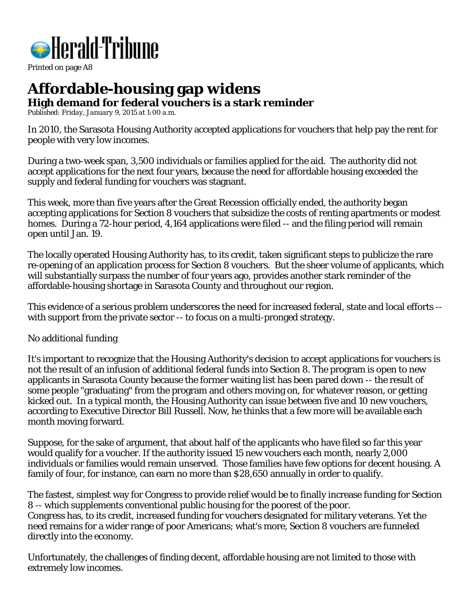

Printed on page A8

## **Affordable-housing gap widens High demand for federal vouchers is a stark reminder**

*Published: Friday, January 9, 2015 at 1:00 a.m.*

In 2010, the Sarasota Housing Authority accepted applications for vouchers that help pay the rent for people with very low incomes.

During a two-week span, 3,500 individuals or families applied for the aid. The authority did not accept applications for the next four years, because the need for affordable housing exceeded the supply and federal funding for vouchers was stagnant.

This week, more than five years after the Great Recession officially ended, the authority began accepting applications for Section 8 vouchers that subsidize the costs of renting apartments or modest homes. During a 72-hour period, 4,164 applications were filed -- and the filing period will remain open until Jan. 19.

The locally operated Housing Authority has, to its credit, taken significant steps to publicize the rare re-opening of an application process for Section 8 vouchers. But the sheer volume of applicants, which will substantially surpass the number of four years ago, provides another stark reminder of the affordable-housing shortage in Sarasota County and throughout our region.

This evidence of a serious problem underscores the need for increased federal, state and local efforts - with support from the private sector -- to focus on a multi-pronged strategy.

## No additional funding

It's important to recognize that the Housing Authority's decision to accept applications for vouchers is not the result of an infusion of additional federal funds into Section 8. The program is open to new applicants in Sarasota County because the former waiting list has been pared down -- the result of some people "graduating" from the program and others moving on, for whatever reason, or getting kicked out. In a typical month, the Housing Authority can issue between five and 10 new vouchers, according to Executive Director Bill Russell. Now, he thinks that a few more will be available each month moving forward.

Suppose, for the sake of argument, that about half of the applicants who have filed so far this year would qualify for a voucher. If the authority issued 15 new vouchers each month, nearly 2,000 individuals or families would remain unserved. Those families have few options for decent housing. A family of four, for instance, can earn no more than \$28,650 annually in order to qualify.

The fastest, simplest way for Congress to provide relief would be to finally increase funding for Section 8 -- which supplements conventional public housing for the poorest of the poor. Congress has, to its credit, increased funding for vouchers designated for military veterans. Yet the need remains for a wider range of poor Americans; what's more, Section 8 vouchers are funneled directly into the economy.

Unfortunately, the challenges of finding decent, affordable housing are not limited to those with extremely low incomes.